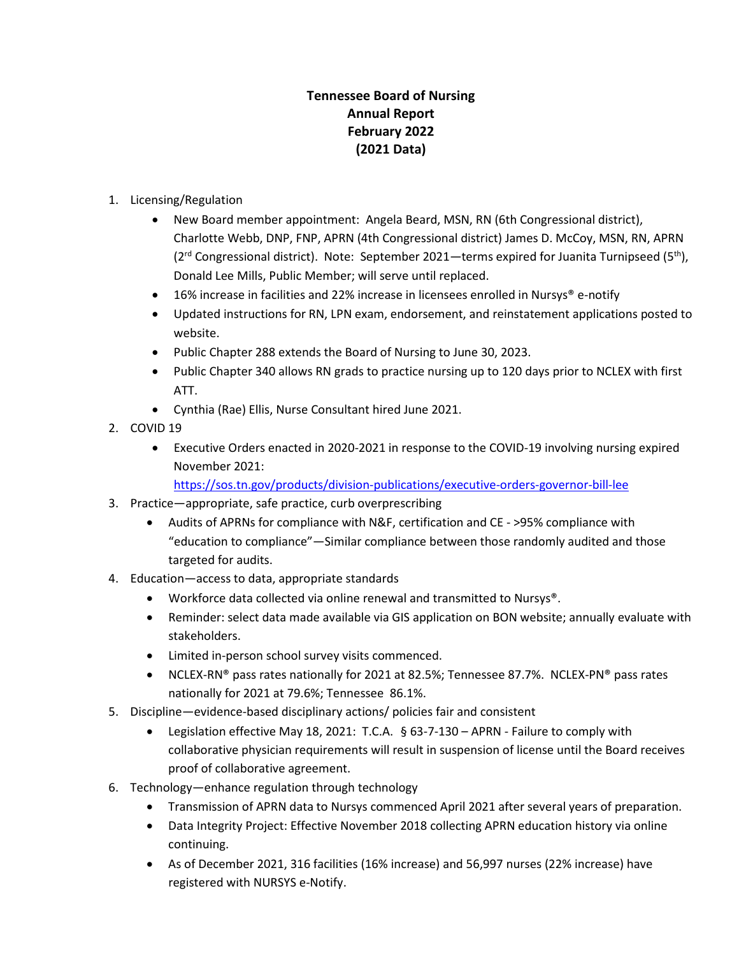## **Tennessee Board of Nursing Annual Report February 2022 (2021 Data)**

- 1. Licensing/Regulation
	- New Board member appointment: Angela Beard, MSN, RN (6th Congressional district), Charlotte Webb, DNP, FNP, APRN (4th Congressional district) James D. McCoy, MSN, RN, APRN ( $2<sup>rd</sup>$  Congressional district). Note: September 2021—terms expired for Juanita Turnipseed ( $5<sup>th</sup>$ ), Donald Lee Mills, Public Member; will serve until replaced.
	- 16% increase in facilities and 22% increase in licensees enrolled in Nursys® e-notify
	- Updated instructions for RN, LPN exam, endorsement, and reinstatement applications posted to website.
	- Public Chapter 288 extends the Board of Nursing to June 30, 2023.
	- Public Chapter 340 allows RN grads to practice nursing up to 120 days prior to NCLEX with first ATT.
	- Cynthia (Rae) Ellis, Nurse Consultant hired June 2021.
- 2. COVID 19
	- Executive Orders enacted in 2020-2021 in response to the COVID-19 involving nursing expired November 2021:

<https://sos.tn.gov/products/division-publications/executive-orders-governor-bill-lee>

- 3. Practice—appropriate, safe practice, curb overprescribing
	- Audits of APRNs for compliance with N&F, certification and CE >95% compliance with "education to compliance"—Similar compliance between those randomly audited and those targeted for audits.
- 4. Education—access to data, appropriate standards
	- Workforce data collected via online renewal and transmitted to Nursys®.
	- Reminder: select data made available via GIS application on BON website; annually evaluate with stakeholders.
	- Limited in-person school survey visits commenced.
	- NCLEX-RN® pass rates nationally for 2021 at 82.5%; Tennessee 87.7%. NCLEX-PN® pass rates nationally for 2021 at 79.6%; Tennessee 86.1%.
- 5. Discipline—evidence-based disciplinary actions/ policies fair and consistent
	- Legislation effective May 18, 2021: T.C.A. § 63-7-130 APRN Failure to comply with collaborative physician requirements will result in suspension of license until the Board receives proof of collaborative agreement.
- 6. Technology—enhance regulation through technology
	- Transmission of APRN data to Nursys commenced April 2021 after several years of preparation.
	- Data Integrity Project: Effective November 2018 collecting APRN education history via online continuing.
	- As of December 2021, 316 facilities (16% increase) and 56,997 nurses (22% increase) have registered with NURSYS e-Notify.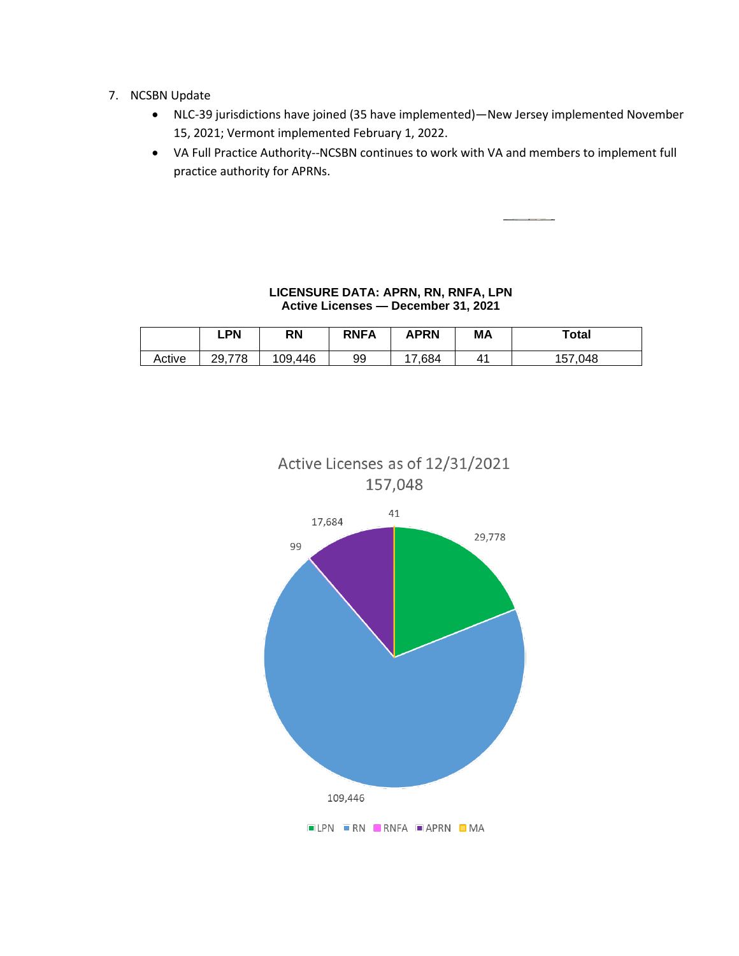- 7. NCSBN Update
	- NLC-39 jurisdictions have joined (35 have implemented)—New Jersey implemented November 15, 2021; Vermont implemented February 1, 2022.
	- VA Full Practice Authority--NCSBN continues to work with VA and members to implement full practice authority for APRNs.

## **LICENSURE DATA: APRN, RN, RNFA, LPN Active Licenses — December 31, 2021**

|        | .PN    | <b>RN</b> | <b>RNFA</b> | APRN   | MA           | Total       |
|--------|--------|-----------|-------------|--------|--------------|-------------|
| Active | 29,778 | 109.446   | 99          | 17.684 | $4^{\prime}$ | .048<br>157 |



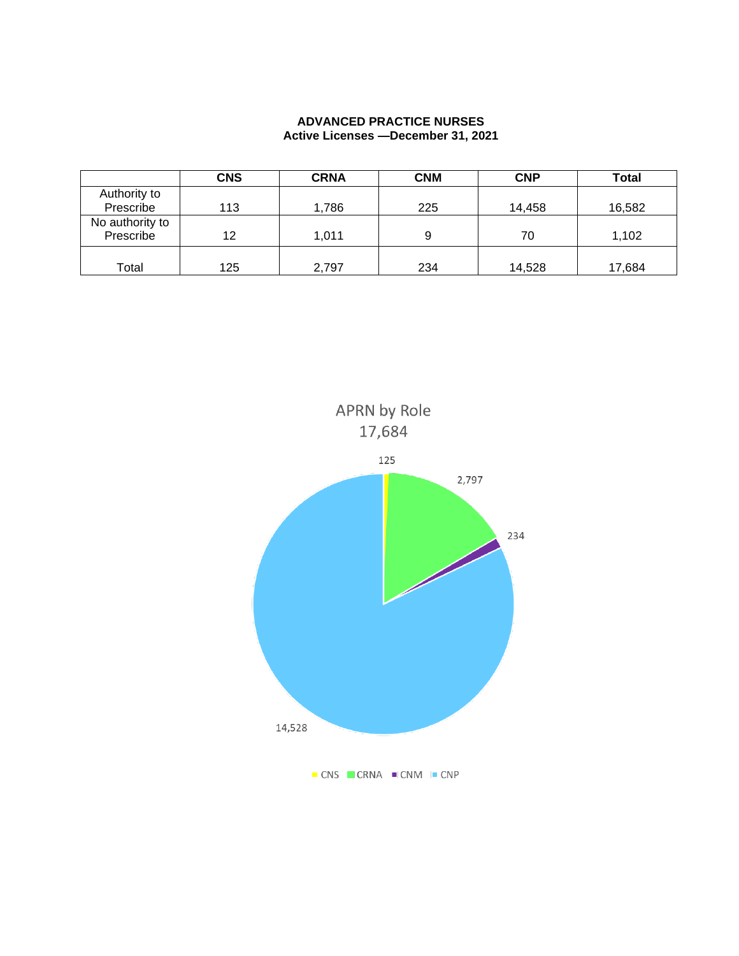## **ADVANCED PRACTICE NURSES Active Licenses —December 31, 2021**

|                              | <b>CNS</b> | <b>CRNA</b> | <b>CNM</b> | <b>CNP</b> | <b>Total</b> |
|------------------------------|------------|-------------|------------|------------|--------------|
| Authority to                 |            |             |            |            |              |
| Prescribe                    | 113        | 1,786       | 225        | 14,458     | 16,582       |
| No authority to<br>Prescribe | 12         | 1,011       | 9          | 70         | 1,102        |
| Total                        | 125        | 2,797       | 234        | 14,528     | 17,684       |

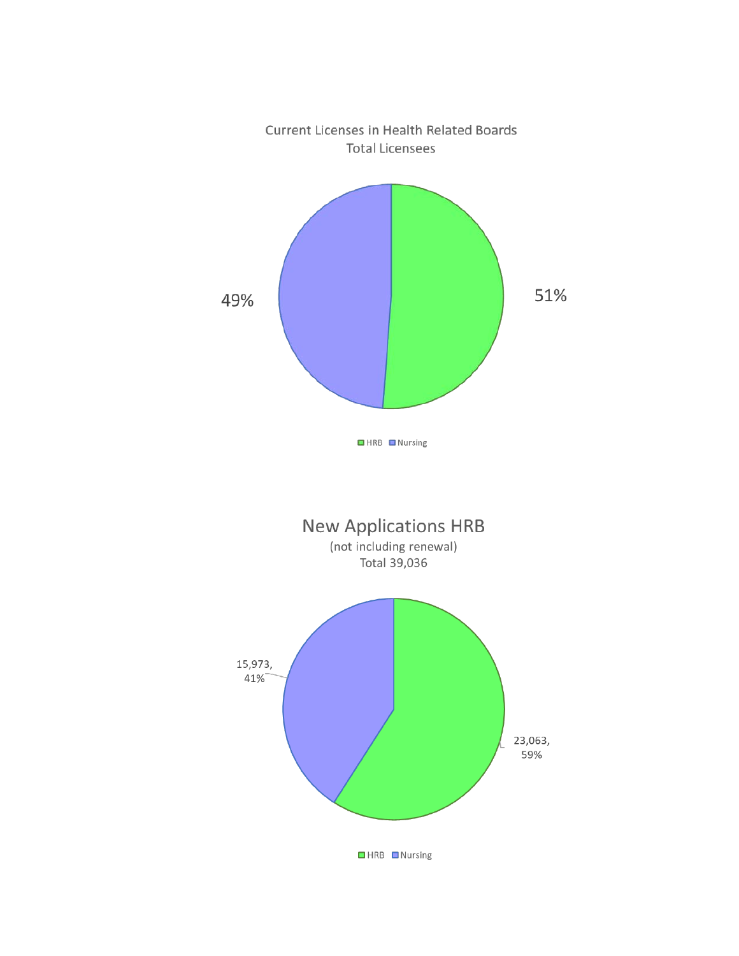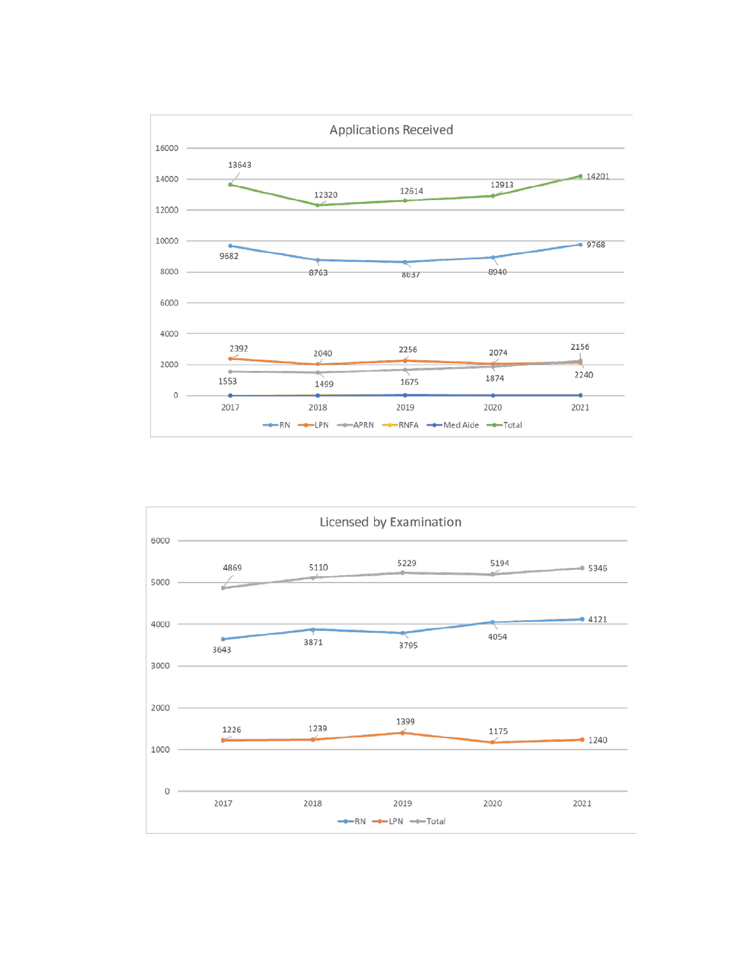

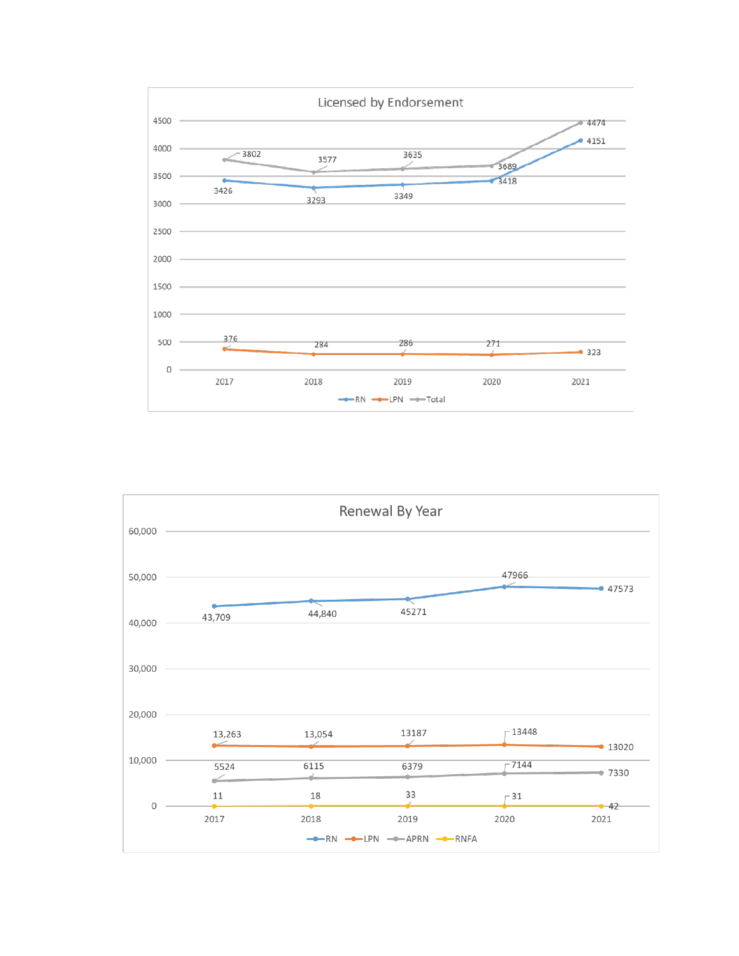